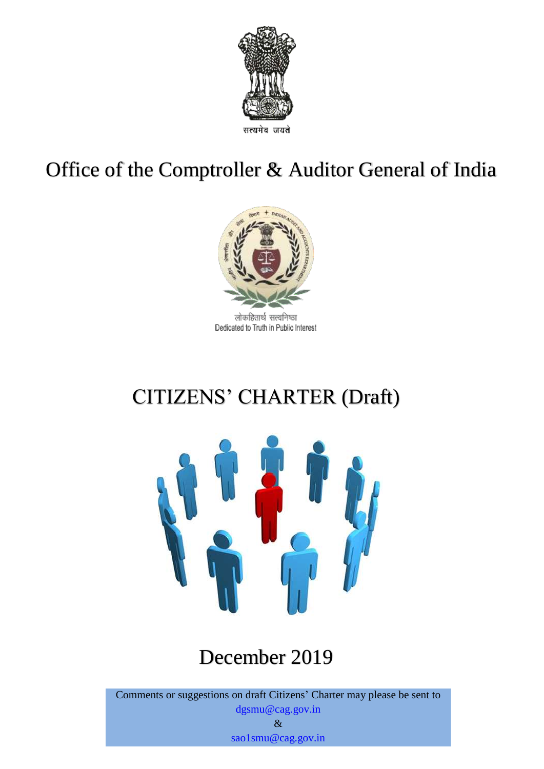

# Office of the Comptroller & Auditor General of India



लोकहितार्थ सत्यनिष्ठा Dedicated to Truth in Public Interest

# CITIZENS' CHARTER (Draft)



# December 2019

Comments or suggestions on draft Citizens' Charter may please be sent to dgsmu@cag.gov.in &

sao1smu@cag.gov.in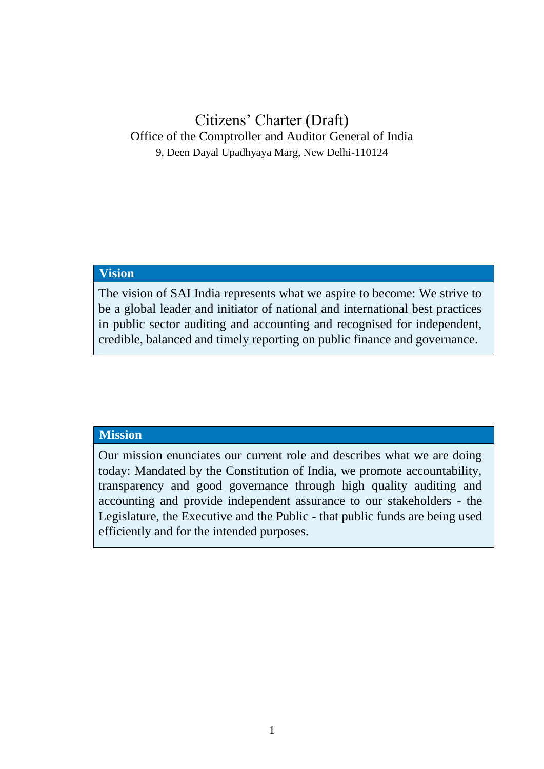## Citizens' Charter (Draft) Office of the Comptroller and Auditor General of India 9, Deen Dayal Upadhyaya Marg, New Delhi-110124

#### **Vision**

The vision of SAI India represents what we aspire to become: We strive to be a global leader and initiator of national and international best practices in public sector auditing and accounting and recognised for independent, credible, balanced and timely reporting on public finance and governance.

#### **Mission**

Our mission enunciates our current role and describes what we are doing today: Mandated by the Constitution of India, we promote accountability, transparency and good governance through high quality auditing and accounting and provide independent assurance to our stakeholders - the Legislature, the Executive and the Public - that public funds are being used efficiently and for the intended purposes.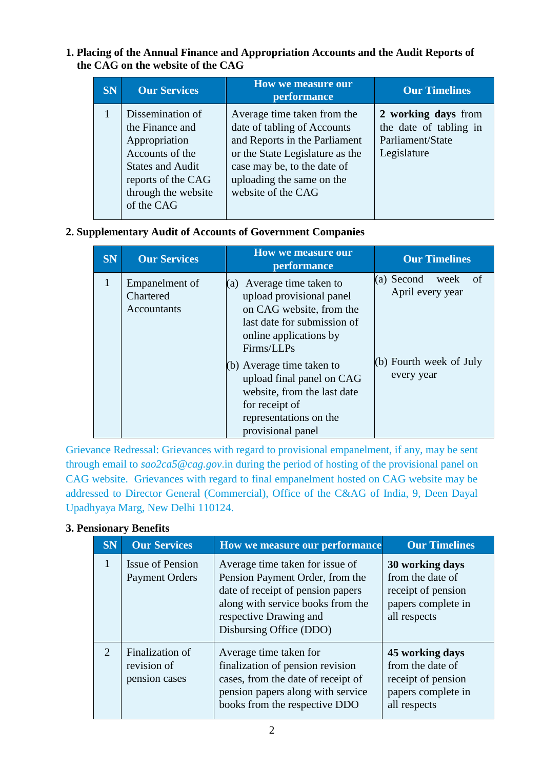#### **1. Placing of the Annual Finance and Appropriation Accounts and the Audit Reports of the CAG on the website of the CAG**

| <b>SN</b> | <b>Our Services</b>                                                                                                                                           | <b>How we measure our</b><br>performance                                                                                                                                                                         | <b>Our Timelines</b>                                                             |
|-----------|---------------------------------------------------------------------------------------------------------------------------------------------------------------|------------------------------------------------------------------------------------------------------------------------------------------------------------------------------------------------------------------|----------------------------------------------------------------------------------|
|           | Dissemination of<br>the Finance and<br>Appropriation<br>Accounts of the<br><b>States and Audit</b><br>reports of the CAG<br>through the website<br>of the CAG | Average time taken from the<br>date of tabling of Accounts<br>and Reports in the Parliament<br>or the State Legislature as the<br>case may be, to the date of<br>uploading the same on the<br>website of the CAG | 2 working days from<br>the date of tabling in<br>Parliament/State<br>Legislature |

#### **2. Supplementary Audit of Accounts of Government Companies**

| <b>SN</b>    | <b>Our Services</b>                        | <b>How we measure our</b><br>performance                                                                                                                                                                                                                                                                             | <b>Our Timelines</b>                                                                     |
|--------------|--------------------------------------------|----------------------------------------------------------------------------------------------------------------------------------------------------------------------------------------------------------------------------------------------------------------------------------------------------------------------|------------------------------------------------------------------------------------------|
| $\mathbf{1}$ | Empanelment of<br>Chartered<br>Accountants | (a) Average time taken to<br>upload provisional panel<br>on CAG website, from the<br>last date for submission of<br>online applications by<br>Firms/LLPs<br>$(b)$ Average time taken to<br>upload final panel on CAG<br>website, from the last date<br>for receipt of<br>representations on the<br>provisional panel | (a) Second<br>week<br>-of<br>April every year<br>$(b)$ Fourth week of July<br>every year |

Grievance Redressal: Grievances with regard to provisional empanelment, if any, may be sent through email to *[sao2ca5@cag.gov](mailto:sao2ca5@cag.gov.in)*.in during the period of hosting of the provisional panel on CAG website. Grievances with regard to final empanelment hosted on CAG website may be addressed to Director General (Commercial), Office of the C&AG of India, 9, Deen Dayal Upadhyaya Marg, New Delhi 110124.

#### **3. Pensionary Benefits**

| <b>SN</b> | <b>Our Services</b>                              | How we measure our performance                                                                                                                                                                    | <b>Our Timelines</b>                                                                            |
|-----------|--------------------------------------------------|---------------------------------------------------------------------------------------------------------------------------------------------------------------------------------------------------|-------------------------------------------------------------------------------------------------|
|           | <b>Issue of Pension</b><br><b>Payment Orders</b> | Average time taken for issue of<br>Pension Payment Order, from the<br>date of receipt of pension papers<br>along with service books from the<br>respective Drawing and<br>Disbursing Office (DDO) | 30 working days<br>from the date of<br>receipt of pension<br>papers complete in<br>all respects |
| 2         | Finalization of<br>revision of<br>pension cases  | Average time taken for<br>finalization of pension revision<br>cases, from the date of receipt of<br>pension papers along with service<br>books from the respective DDO                            | 45 working days<br>from the date of<br>receipt of pension<br>papers complete in<br>all respects |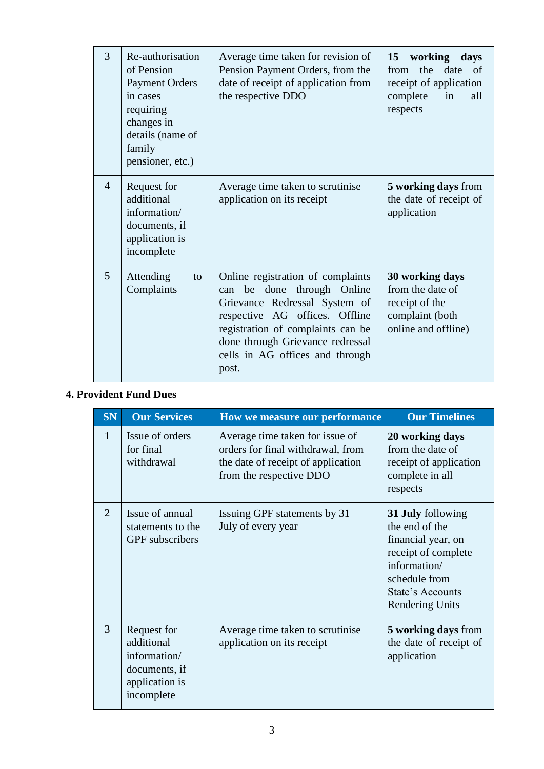| 3              | Re-authorisation<br>of Pension<br><b>Payment Orders</b><br>in cases<br>requiring<br>changes in<br>details (name of<br>family<br>pensioner, etc.) | Average time taken for revision of<br>Pension Payment Orders, from the<br>date of receipt of application from<br>the respective DDO                                                                                                                           | working days<br>15<br>from the date of<br>receipt of application<br>complete<br>in<br>all<br>respects |
|----------------|--------------------------------------------------------------------------------------------------------------------------------------------------|---------------------------------------------------------------------------------------------------------------------------------------------------------------------------------------------------------------------------------------------------------------|-------------------------------------------------------------------------------------------------------|
| $\overline{4}$ | Request for<br>additional<br>information/<br>documents, if<br>application is<br>incomplete                                                       | Average time taken to scrutinise<br>application on its receipt                                                                                                                                                                                                | 5 working days from<br>the date of receipt of<br>application                                          |
| 5              | Attending<br>to<br>Complaints                                                                                                                    | Online registration of complaints<br>done through Online<br>be<br>can<br>Grievance Redressal System of<br>respective AG offices. Offline<br>registration of complaints can be<br>done through Grievance redressal<br>cells in AG offices and through<br>post. | 30 working days<br>from the date of<br>receipt of the<br>complaint (both<br>online and offline)       |

#### **4. Provident Fund Dues**

| <b>SN</b>    | <b>Our Services</b>                                                                        | How we measure our performance                                                                                                        | <b>Our Timelines</b>                                                                                                                                            |
|--------------|--------------------------------------------------------------------------------------------|---------------------------------------------------------------------------------------------------------------------------------------|-----------------------------------------------------------------------------------------------------------------------------------------------------------------|
| $\mathbf{1}$ | Issue of orders<br>for final<br>withdrawal                                                 | Average time taken for issue of<br>orders for final withdrawal, from<br>the date of receipt of application<br>from the respective DDO | 20 working days<br>from the date of<br>receipt of application<br>complete in all<br>respects                                                                    |
| 2            | Issue of annual<br>statements to the<br><b>GPF</b> subscribers                             | Issuing GPF statements by 31<br>July of every year                                                                                    | 31 July following<br>the end of the<br>financial year, on<br>receipt of complete<br>information/<br>schedule from<br>State's Accounts<br><b>Rendering Units</b> |
| 3            | Request for<br>additional<br>information/<br>documents, if<br>application is<br>incomplete | Average time taken to scrutinise<br>application on its receipt                                                                        | 5 working days from<br>the date of receipt of<br>application                                                                                                    |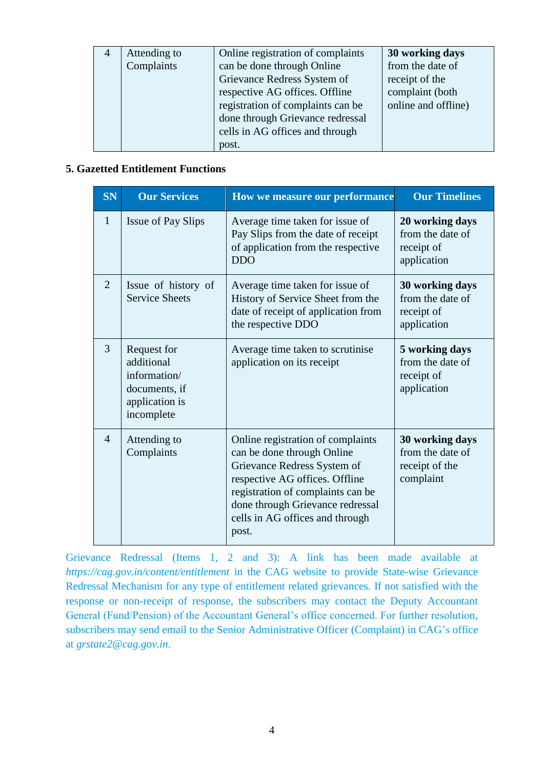| Attending to<br>Complaints | Online registration of complaints<br>can be done through Online                                                                                                           | 30 working days<br>from the date of                      |
|----------------------------|---------------------------------------------------------------------------------------------------------------------------------------------------------------------------|----------------------------------------------------------|
|                            | Grievance Redress System of<br>respective AG offices. Offline<br>registration of complaints can be<br>done through Grievance redressal<br>cells in AG offices and through | receipt of the<br>complaint (both<br>online and offline) |
|                            | post.                                                                                                                                                                     |                                                          |

#### **5. Gazetted Entitlement Functions**

| <b>SN</b>      | <b>Our Services</b>                                                                        | How we measure our performance                                                                                                                                                                                                                        | <b>Our Timelines</b>                                               |
|----------------|--------------------------------------------------------------------------------------------|-------------------------------------------------------------------------------------------------------------------------------------------------------------------------------------------------------------------------------------------------------|--------------------------------------------------------------------|
| $\mathbf{1}$   | Issue of Pay Slips                                                                         | Average time taken for issue of<br>Pay Slips from the date of receipt<br>of application from the respective<br><b>DDO</b>                                                                                                                             | 20 working days<br>from the date of<br>receipt of<br>application   |
| $\overline{2}$ | Issue of history of<br><b>Service Sheets</b>                                               | Average time taken for issue of<br>History of Service Sheet from the<br>date of receipt of application from<br>the respective DDO                                                                                                                     | 30 working days<br>from the date of<br>receipt of<br>application   |
| 3              | Request for<br>additional<br>information/<br>documents, if<br>application is<br>incomplete | Average time taken to scrutinise<br>application on its receipt                                                                                                                                                                                        | 5 working days<br>from the date of<br>receipt of<br>application    |
| $\overline{4}$ | Attending to<br>Complaints                                                                 | Online registration of complaints<br>can be done through Online<br>Grievance Redress System of<br>respective AG offices. Offline<br>registration of complaints can be<br>done through Grievance redressal<br>cells in AG offices and through<br>post. | 30 working days<br>from the date of<br>receipt of the<br>complaint |

Grievance Redressal (Items 1, 2 and 3): A link has been made available at *https://cag.gov.in/content/entitlement* in the CAG website to provide State-wise Grievance Redressal Mechanism for any type of entitlement related grievances. If not satisfied with the response or non-receipt of response, the subscribers may contact the Deputy Accountant General (Fund/Pension) of the Accountant General's office concerned. For further resolution, subscribers may send email to the Senior Administrative Officer (Complaint) in CAG's office at *grstate2@cag.gov.in*.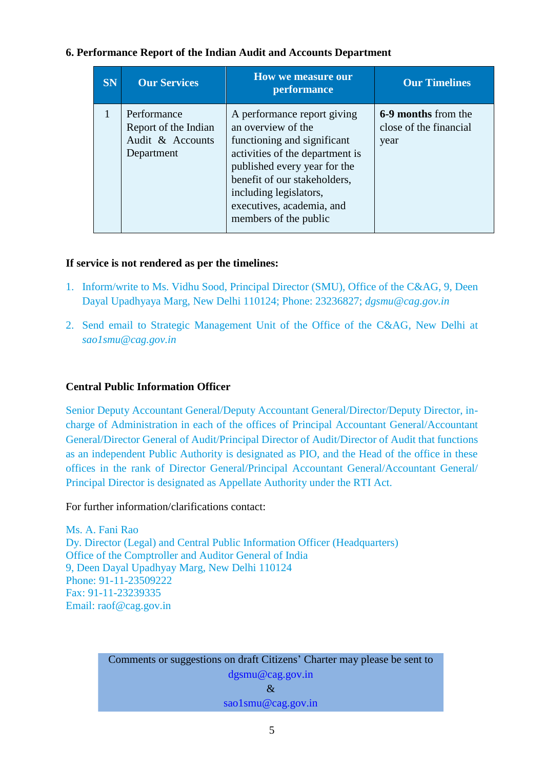#### **6. Performance Report of the Indian Audit and Accounts Department**

| <b>SN</b> | <b>Our Services</b>                                                   | <b>How we measure our</b><br>performance                                                                                                                                                                                                                            | <b>Our Timelines</b>                                  |
|-----------|-----------------------------------------------------------------------|---------------------------------------------------------------------------------------------------------------------------------------------------------------------------------------------------------------------------------------------------------------------|-------------------------------------------------------|
|           | Performance<br>Report of the Indian<br>Audit & Accounts<br>Department | A performance report giving<br>an overview of the<br>functioning and significant<br>activities of the department is<br>published every year for the<br>benefit of our stakeholders,<br>including legislators,<br>executives, academia, and<br>members of the public | 6-9 months from the<br>close of the financial<br>year |

#### **If service is not rendered as per the timelines:**

- 1. Inform/write to Ms. Vidhu Sood, Principal Director (SMU), Office of the C&AG, 9, Deen Dayal Upadhyaya Marg, New Delhi 110124; Phone: 23236827; *dgsmu@cag.gov.in*
- 2. Send email to Strategic Management Unit of the Office of the C&AG, New Delhi at *sao1smu@cag.gov.in*

#### **Central Public Information Officer**

Senior Deputy Accountant General/Deputy Accountant General/Director/Deputy Director, incharge of Administration in each of the offices of Principal Accountant General/Accountant General/Director General of Audit/Principal Director of Audit/Director of Audit that functions as an independent Public Authority is designated as PIO, and the Head of the office in these offices in the rank of Director General/Principal Accountant General/Accountant General/ Principal Director is designated as Appellate Authority under the RTI Act.

For further information/clarifications contact:

Ms. A. Fani Rao Dy. Director (Legal) and Central Public Information Officer (Headquarters) Office of the Comptroller and Auditor General of India 9, Deen Dayal Upadhyay Marg, New Delhi 110124 Phone: 91-11-23509222 Fax: 91-11-23239335 Email: raof@cag.gov.in

> Comments or suggestions on draft Citizens' Charter may please be sent to dgsmu@cag.gov.in  $\mathcal{R}$ sao1smu@cag.gov.in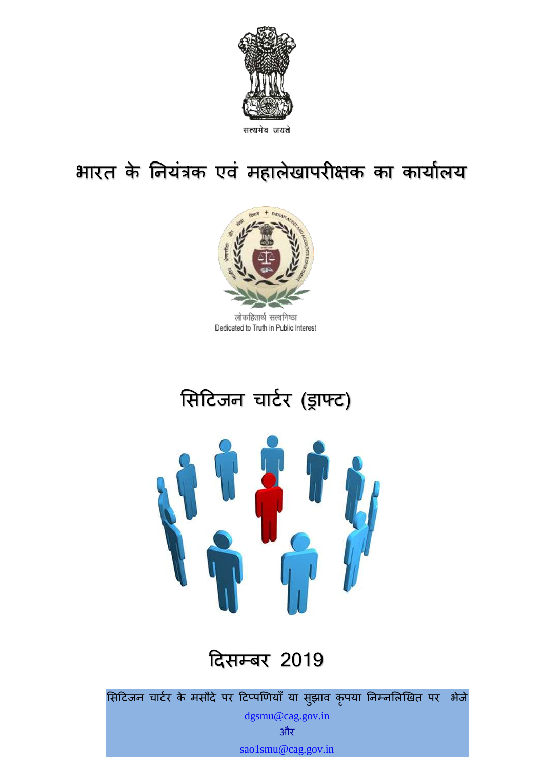

# भारत के नियंत्रक एवं महालेखापरीक्षक का कार्यालय



लोकहितार्थ सत्यनिष्ठा Dedicated to Truth in Public Interest

# सिटिजन चार्टर (ड्राफ्ट)



# टििम्बर 2019

सिटिजन चार्टर के मसौदे पर टिप्पणियाँ या सुझाव कृपया निम्नलिखित पर भेजे

dgsmu@cag.gov.in और sao1smu@cag.gov.in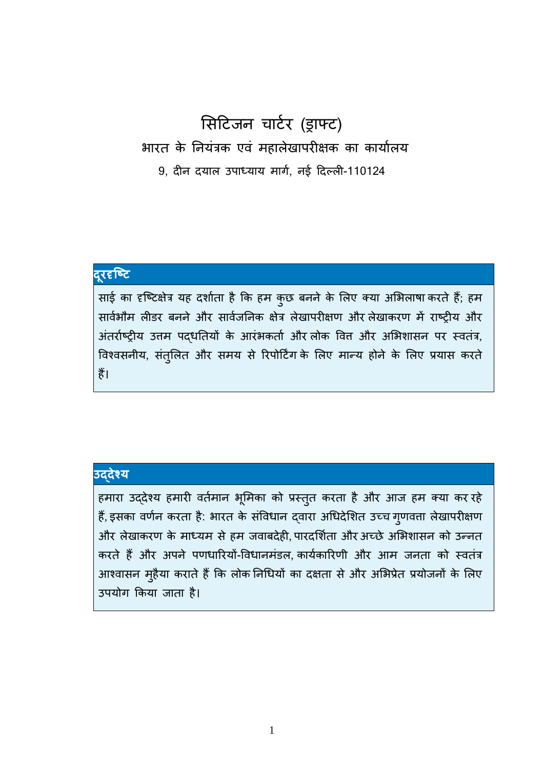## सिटिजन चार्टर (ड्राफ्ट) भारत के नियंत्रक एवं महालेखापरीक्षक का कार्यालय 9, िीन ियाल उपाध्याय मार्ट, नई टिल्ली-110124

## **दरूदृष्टि**

साई का दृष्टिक्षेत्र यह दर्शाता है कि हम कुछ बनने के लिए क्या अभिलाषा करते हैं; हम सार्वभौम लीडर बनने और सार्वजनिक क्षेत्र लेखापरीक्षण और लेखाकरण में राष्ट्रीय और अंतर्राष्ट्रीय उत्तम पद्धतियों के आरंभकर्ता और लोक वित्त और अभिशासन पर स्वतंत्र, विश्वसनीय, संतुलित और समय से रिपोर्टिंग के लिए मान्य होने के लिए प्रयास करते हैं।

#### **उद्देश्य**

हमारा उद्देश्य हमारी वर्तमान भूमिका को प्रस्तुत करता है और आज हम क्या कर रहे हैं, इसका वर्णन करता है: भारत के संविधान दवारा अधिदेशित उच्च गुणवत्ता लेखापरीक्षण और लेखाकरण के माध्यम से हम जवाबदेही, पारदर्शिता और अच्छे अभिशासन को उन्नत करते हैं और अपने पणधारियों-विधानमंडल, कार्यकारिणी और आम जनता को स्वतंत्र आश्वासन मुहैया कराते हैं कि लोक निधियों का दक्षता से और अभिप्रेत प्रयोजनों के लिए उपयोर् ककया जाता है।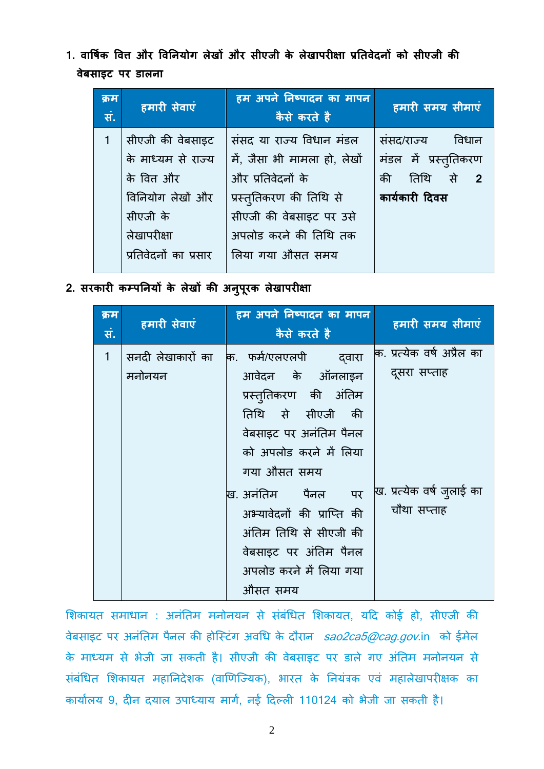**1. वार्षिक र्वत्त और र्वनियोग लेखों और सीएजी के लेखापरीक्षा प्रनिवेदिों को सीएजी की वेबसाइि पर डालिा** 

| क्रम<br>सं. | हमारी सेवाएं          | हम अपने निष्पादन का मापन<br>कैसे करते है | हमारी समय सीमाएं      |
|-------------|-----------------------|------------------------------------------|-----------------------|
|             | सीएजी की वेबसाइट      | संसद या राज्य विधान मंडल                 | संसद/राज्य<br>विधान   |
|             | के माध्यम से राज्य    | में, जैसा भी मामला हो, लेखों             | मंडल में प्रस्तुतिकरण |
|             | के वित्त और           | और प्रतिवेदनों के                        | तिथि से $2$<br>की     |
|             | विनियोग लेखों और      | प्रस्तुतिकरण की तिथि से                  | कार्यकारी दिवस        |
|             | सीएजी के              | सीएजी की वेबसाइट पर उसे                  |                       |
|             | लेखापरीक्षा           | अपलोड करने की तिथि तक                    |                       |
|             | प्रतिवेदनों का प्रसार | लिया गया औसत समय                         |                       |
|             |                       |                                          |                       |

**2. सरकारी कम्पनियों के लेखों की अिुपूरक लेखापरीक्षा**

| क्रम<br>सं.  | हमारी सेवाएं      | हम अपने निष्पादन का मापन<br>कैसे करते है | हमारी समय सीमाएं            |
|--------------|-------------------|------------------------------------------|-----------------------------|
| $\mathbf{1}$ | सनदी लेखाकारों का | कि. फर्म/एलएलपी<br>दवारा                 | कि. प्रत्येक वर्ष अप्रैल का |
|              | मनोनयन            | आवेदन के ऑनलाइन                          | दूसरा सप्ताह                |
|              |                   | प्रस्तुतिकरण की अंतिम                    |                             |
|              |                   | तिथि से सीएजी की                         |                             |
|              |                   | वेबसाइट पर अनंतिम पैनल                   |                             |
|              |                   | को अपलोड करने में लिया                   |                             |
|              |                   | गया औसत समय                              |                             |
|              |                   | ख. अनंतिम पर पैर पर                      | ख. प्रत्येक वर्ष ज़्लाई का  |
|              |                   | अभ्यावेदनों की प्राप्ति की               | चौथा सप्ताह                 |
|              |                   | अंतिम तिथि से सीएजी की                   |                             |
|              |                   | वेबसाइट पर अंतिम पैनल                    |                             |
|              |                   | अपलोड करने में लिया गया                  |                             |
|              |                   | औसत समय                                  |                             |

शिकायत समाधान : अनंतिम मनोनयन से संबंधित शिकायत, यदि कोई हो, सीएजी की वेबसाइट पर अनंतिम पैनल की होस्टिंग अवधि के दौरान [sao2ca5@cag.gov](mailto:sao2ca5@cag.gov.in).in को ईमेल के माध्यम से भेजी जा सकती है। सीएजी की वेबसाइट पर डाले गए अंतिम मनोनयन से संबंधित शिकायत महानिदेशक (वाणिज्यिक), भारत के नियंत्रक एवं महालेखापरीक्षक का कार्यालय 9, दीन दयाल उपाध्याय मार्ग, नई दिल्ली 110124 को भेजी जा सकती है।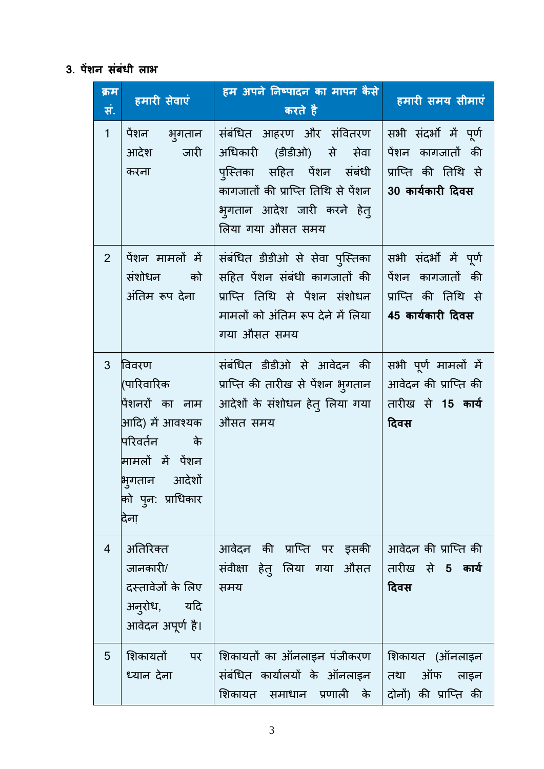## **3. पेंशि संबंधी लाभ**

| क्रम<br>सं.    | हमारी सेवाएं                                                                                                                                        | हम अपने निष्पादन का मापन कैसे<br>करते है                                                                                                                                 | हमारी समय सीमाएं                                                                        |
|----------------|-----------------------------------------------------------------------------------------------------------------------------------------------------|--------------------------------------------------------------------------------------------------------------------------------------------------------------------------|-----------------------------------------------------------------------------------------|
| 1              | पेंशन भ्गतान<br>् जारी<br>आदेश<br>करना                                                                                                              | संबंधित आहरण और संवितरण<br>अधिकारी (डीडीओ) से सेवा<br>पुस्तिका सहित पेंशन संबंधी<br>कागजातों की प्राप्ति तिथि से पेंशन<br>भुगतान आदेश जारी करने हेतु<br>लिया गया औसत समय | सभी संदर्भों में पूर्ण<br>पेंशन कागजातों की<br>प्राप्ति की तिथि से<br>30 कार्यकारी दिवस |
| $\overline{2}$ | पेंशन मामलों में<br>संशोधन को<br>अंतिम रूप देना                                                                                                     | संबंधित डीडीओ से सेवा पुस्तिका<br>सहित पेंशन संबंधी कागजातों की<br>प्राप्ति तिथि से पेंशन संशोधन<br>मामलों को अंतिम रूप देने में लिया<br>गया औसत समय                     | सभी संदर्भों में पूर्ण<br>पेंशन कागजातों की<br>प्राप्ति की तिथि से<br>45 कार्यकारी दिवस |
| 3              | विवरण<br>(पारिवारिक<br>पेंशनरों का नाम<br>आदि) में आवश्यक<br>परिवर्तन के<br>मामलों में पेंशन<br>भिगतान आदेशों<br>को प् <i>न</i> : प्राधिकार<br>देना | संबंधित डीडीओ से आवेदन की<br>प्राप्ति की तारीख से पेंशन भुगतान<br>आदेशों के संशोधन हेत् लिया गया<br>औसत समय                                                              | सभी पूर्ण मामलों में<br>आवेदन की प्राप्ति की<br>तारीख से 15 कार्य<br>दिवस               |
| $\overline{4}$ | अतिरिक्त<br>जानकारी/<br>दस्तावेजों के लिए<br>अन् <b>रोध,</b> यदि<br>आवेदन अपूर्ण है।                                                                | आवेदन की प्राप्ति पर इसकी<br>संवीक्षा हेत् लिया गया औसत<br>समय                                                                                                           | आवेदन की प्राप्ति की<br>तारीख से 5 कार्य<br>दिवस                                        |
| 5              | शिकायतों पर<br>ध्यान देना                                                                                                                           | शिकायतों का ऑनलाइन पंजीकरण<br>संबंधित कार्यालयों के ऑनलाइन<br>शिकायत समाधान प्रणाली के                                                                                   | शिकायत (ऑनलाइन<br>ऑफ<br>तथा<br>लाइन<br>दोनों) की प्राप्ति की                            |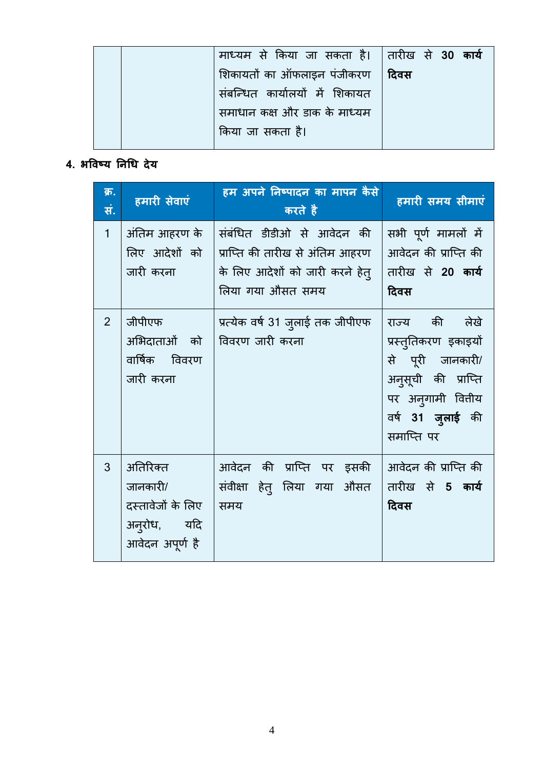|  | माध्यम से किया जा सकता है। तारीख से 30 कार्य |      |  |  |
|--|----------------------------------------------|------|--|--|
|  | शिकायतों का ऑफलाइन पंजीकरण                   | दिवस |  |  |
|  | संबन्धित कार्यालयों में शिकायत               |      |  |  |
|  | समाधान कक्ष और डाक के माध्यम                 |      |  |  |
|  | किया जा सकता है।                             |      |  |  |
|  |                                              |      |  |  |

## **4. भर्वटय निधध देय**

| क्र.<br>सं.    | हमारी सेवाएं                                                                | हम अपने निष्पादन का मापन कैसे<br>करते है                                                                              | हमारी समय सीमाएं                                                                                                                               |
|----------------|-----------------------------------------------------------------------------|-----------------------------------------------------------------------------------------------------------------------|------------------------------------------------------------------------------------------------------------------------------------------------|
| $\mathbf{1}$   | अंतिम आहरण के<br>लिए आदेशों को<br>जारी करना                                 | संबंधित डीडीओ से आवेदन की<br>  प्राप्ति की तारीख से अंतिम आहरण<br>के लिए आदेशों को जारी करने हेत्<br>लिया गया औसत समय | सभी पूर्ण मामलों में<br>आवेदन की प्राप्ति की<br>तारीख से 20 कार्य<br>दिवस                                                                      |
| $\overline{2}$ | जीपीएफ<br>अभिदाताओं को<br>वार्षिक विवरण<br>जारी करना                        | प्रत्येक वर्ष 31 जुलाई तक जीपीएफ<br>  विवरण जारी करना                                                                 | राज्य की लेखे<br>प्रस्तुतिकरण इकाइयों<br>से पूरी जानकारी/<br>अन् <b>सूची की प्राप्ति</b><br>पर अन्गामी वितीय<br>वर्ष 31 जुलाई की<br>समाप्ति पर |
| 3              | अतिरिक्त<br>जानकारी/<br>दस्तावेजों के लिए<br>अनुरोध, यदि<br>आवेदन अपूर्ण है | आवेदन की प्राप्ति पर इसकी<br>संवीक्षा हेत् लिया गया औसत<br>समय                                                        | आवेदन की प्राप्ति की<br>तारीख से 5 कार्य<br>दिवस                                                                                               |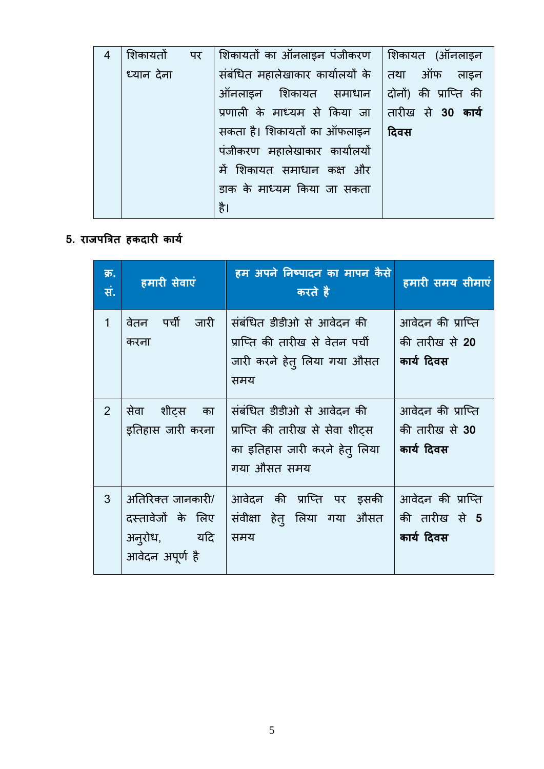| 4 | शिकायतों   | पर | शिकायतों का ऑनलाइन पंजीकरण    शिकायत  (ऑनलाइन          |      |
|---|------------|----|--------------------------------------------------------|------|
|   | ध्यान देना |    | संबंधित महालेखाकार कार्यालयों के $\mid$ तथा आँफ लाइन   |      |
|   |            |    | ऑनलाइन शिकायत समाधान दोनों) की प्राप्ति की             |      |
|   |            |    | प्रणाली के माध्यम से किया जा  तारीख से <b>30 कार्य</b> |      |
|   |            |    | सकता है। शिकायतों का ऑफलाइन                            | दिवस |
|   |            |    | पंजीकरण महालेखाकार कार्यालयों                          |      |
|   |            |    | में शिकायत समाधान कक्ष और                              |      |
|   |            |    | डाक के माध्यम किया जा सकता                             |      |
|   |            |    | है।                                                    |      |

## **5. राजपत्रिि हकदारी कायि**

| क्र.<br>सं.    | हमारी सेवाएं                                                                     | हम अपने निष्पादन का मापन कैसे<br>करते है                                                                     | हमारी समय सीमाएं                                  |
|----------------|----------------------------------------------------------------------------------|--------------------------------------------------------------------------------------------------------------|---------------------------------------------------|
| $\mathbf{1}$   | वेतन पर्ची जारी<br>करना                                                          | संबंधित डीडीओ से आवेदन की<br>प्राप्ति की तारीख से वेतन पर्ची<br>जारी करने हेत् लिया गया औसत<br>समय           | आवेदन की प्राप्ति<br>की तारीख से 20<br>कार्य दिवस |
| 2 <sup>1</sup> | सेवा शीट्स का<br>इतिहास जारी करना                                                | संबंधित डीडीओ से आवेदन की<br>प्राप्ति की तारीख से सेवा शीट्स<br>का इतिहास जारी करने हेत् लिया<br>गया औसत समय | आवेदन की प्राप्ति<br>की तारीख से 30<br>कार्य दिवस |
| 3              | अतिरिक्त जानकारी/<br>दस्तावेजों के लिए<br>अन् <b>रोध,</b> यदि<br>आवेदन अपूर्ण है | आवेदन की प्राप्ति पर इसकी<br>संवीक्षा हेत् लिया गया औसत<br>समय                                               | आवेदन की प्राप्ति<br>की तारीख से 5<br>कार्य दिवस  |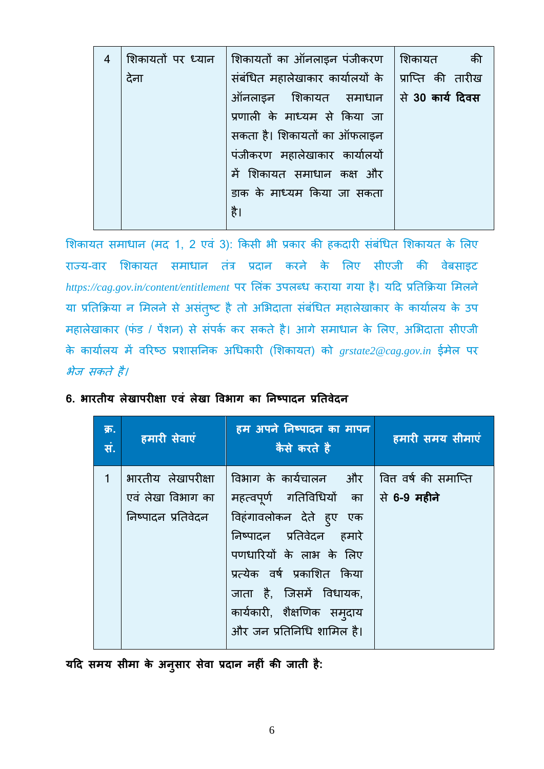| 4 |      | शिकायतों पर ध्यान  शिकायतों का ऑनलाइन पंजीकरण       | शिकायत<br>की |
|---|------|-----------------------------------------------------|--------------|
|   | देना | संबंधित महालेखाकार कार्यालयों के  प्राप्ति की तारीख |              |
|   |      | ऑनलाइन शिकायत समाधान से 30 <b>कार्य दिवस</b>        |              |
|   |      | प्रणाली के माध्यम से किया जा                        |              |
|   |      | सकता है। शिकायतों का ऑफलाइन                         |              |
|   |      | पंजीकरण महालेखाकार कार्यालयों                       |              |
|   |      | में शिकायत समाधान कक्ष और                           |              |
|   |      | डाक के माध्यम किया जा सकता                          |              |
|   |      | है।                                                 |              |
|   |      |                                                     |              |

शिकायत समाधान (मद 1, 2 एवं 3): किसी भी प्रकार की हकदारी संबंधित शिकायत के लिए राज्य-वार शिकायत समाधान तंत्र प्रदान करने के लिए सीएजी की वेबसाइट *https://cag.gov.in/content/entitlement* पर सलंक उपलब्यो कराया र्या है। यटि प्रनतकिया समलने या प्रतिक्रिया न मिलने से असंतुष्ट है तो अभिदाता संबंधित महालेखाकार के कार्यालय के उप महालेखाकार (फंड / पेंशन) से संपर्क कर सकते है। आगे समाधान के लिए, अभिदाता सीएजी के कायाटलय में वररटठ प्रर्ािननक अधयोकारी (सर्कायत) को *grstate2@cag.gov.in* ईमेल पर भेज सकते है।

| क्र.<br>सं.  | हमारी सेवाएं                                                  | हम अपने निष्पादन का मापन<br>कैसे करते है                                                                                                                                                                                                                                                              | हमारी समय सीमाएं |
|--------------|---------------------------------------------------------------|-------------------------------------------------------------------------------------------------------------------------------------------------------------------------------------------------------------------------------------------------------------------------------------------------------|------------------|
| $\mathbf{1}$ | भारतीय लेखापरीक्षा<br>एवं लेखा विभाग का<br>निष्पादन प्रतिवेदन | विभाग के कार्यचालन और   वित्त वर्ष की समाप्ति<br>महत्वपूर्ण गतिविधियों का  से <b>6-9 महीने</b><br>विहंगावलोकन देते ह्ए एक<br>निष्पादन प्रतिवेदन हमारे<br>पणधारियों के लाभ के लिए<br>प्रत्येक वर्ष प्रकाशित किया<br>जाता है, जिसमें विधायक,<br>कार्यकारी, शैक्षणिक समुदाय<br>और जन प्रतिनिधि शामिल है। |                  |

### 6. **भारतीय लेखापरीक्षा एवं लेखा विभाग का निष्पादन प्रतिवेदन**

**यदद समय सीमा के अिुसार सेवा प्रदाि िहीं की जािी है:**